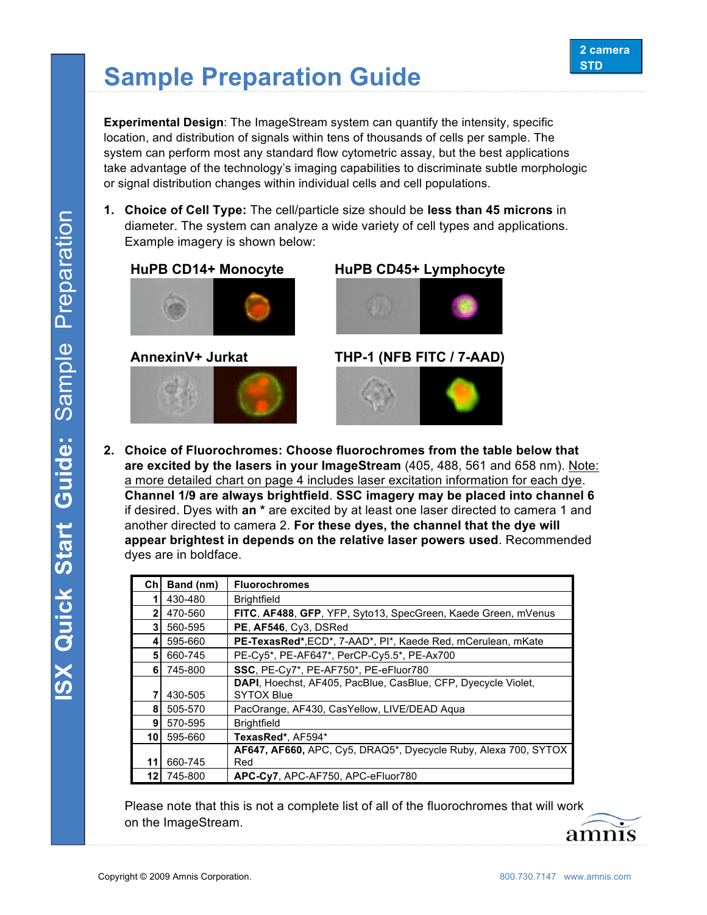## **Sample Preparation Guide**

**Experimental Design:** The ImageStream system can quantify the intensity, specific location, and distribution of signals within tens of thousands of cells per sample. The system can perform most any standard flow cytometric assay, but the best applications take advantage of the technology's imaging capabilities to discriminate subtle morphologic or signal distribution changes within individual cells and cell populations.

**1. Choice of Cell Type:** The cell/particle size should be **less than 45 microns** in diameter. The system can analyze a wide variety of cell types and applications. Example imagery is shown below:





## **HuPB CD14+ Monocyte HuPB CD45+ Lymphocyte**



**AnnexinV+ Jurkat THP-1 (NFB FITC / 7-AAD)**



**2. Choice of Fluorochromes: Choose fluorochromes from the table below that are excited by the lasers in your ImageStream** (405, 488, 561 and 658 nm). Note: a more detailed chart on page 4 includes laser excitation information for each dye. **Channel 1/9 are always brightfield**. **SSC imagery may be placed into channel 6** if desired. Dyes with **an \*** are excited by at least one laser directed to camera 1 and another directed to camera 2. **For these dyes, the channel that the dye will appear brightest in depends on the relative laser powers used**. Recommended dyes are in boldface.

| Ch | Band (nm) | <b>Fluorochromes</b>                                                  |
|----|-----------|-----------------------------------------------------------------------|
|    | 430-480   | <b>Brightfield</b>                                                    |
| 2  | 470-560   | FITC, AF488, GFP, YFP, Syto13, SpecGreen, Kaede Green, mVenus         |
| 3  | 560-595   | PE, AF546, Cy3, DSRed                                                 |
| 4  | 595-660   | PE-TexasRed*, ECD*, 7-AAD*, PI*, Kaede Red, mCerulean, mKate          |
| 5  | 660-745   | PE-Cy5*, PE-AF647*, PerCP-Cy5.5*, PE-Ax700                            |
| 6  | 745-800   | SSC, PE-Cy7*, PE-AF750*, PE-eFluor780                                 |
|    |           | <b>DAPI</b> , Hoechst, AF405, PacBlue, CasBlue, CFP, Dyecycle Violet, |
|    | 430-505   | <b>SYTOX Blue</b>                                                     |
| 8  | 505-570   | PacOrange, AF430, CasYellow, LIVE/DEAD Agua                           |
| 9  | 570-595   | <b>Brightfield</b>                                                    |
| 10 | 595-660   | TexasRed*, AF594*                                                     |
|    |           | AF647, AF660, APC, Cy5, DRAQ5*, Dyecycle Ruby, Alexa 700, SYTOX       |
| 11 | 660-745   | Red                                                                   |
| 12 | 745-800   | APC-Cy7, APC-AF750, APC-eFluor780                                     |

Please note that this is not a complete list of all of the fluorochromes that will work on the ImageStream.

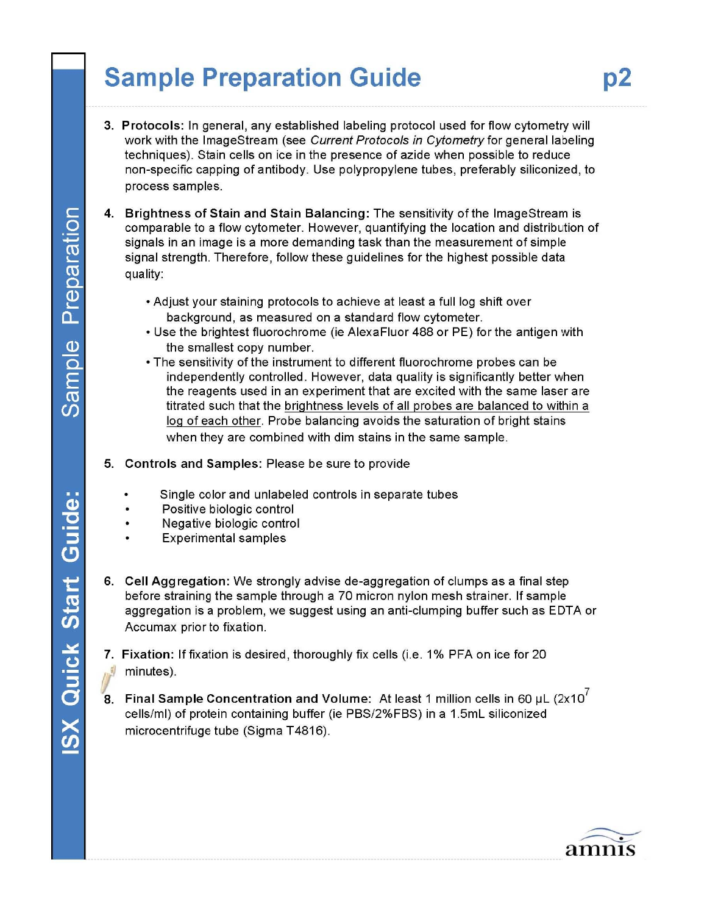## **Sample Preparation Guide**

- 3. Protocols: In general, any established labeling protocol used for flow cytometry will work with the ImageStream (see Current Protocols in Cytometry for general labeling techniques). Stain cells on ice in the presence of azide when possible to reduce non-specific capping of antibody. Use polypropylene tubes, preferably siliconized, to process samples.
- 4. Brightness of Stain and Stain Balancing: The sensitivity of the ImageStream is comparable to a flow cytometer. However, quantifying the location and distribution of signals in an image is a more demanding task than the measurement of simple signal strength. Therefore, follow these guidelines for the highest possible data quality:
	- . Adjust your staining protocols to achieve at least a full log shift over background, as measured on a standard flow cytometer.
	- Use the brightest fluorochrome (ie AlexaFluor 488 or PE) for the antigen with the smallest copy number.
	- The sensitivity of the instrument to different fluorochrome probes can be independently controlled. However, data quality is significantly better when the reagents used in an experiment that are excited with the same laser are titrated such that the brightness levels of all probes are balanced to within a log of each other. Probe balancing avoids the saturation of bright stains when they are combined with dim stains in the same sample.
- 5. Controls and Samples: Please be sure to provide
	- Single color and unlabeled controls in separate tubes
	- Positive biologic control
	- Negative biologic control
	- **Experimental samples**
- 6. Cell Aggregation: We strongly advise de-aggregation of clumps as a final step before straining the sample through a 70 micron nylon mesh strainer. If sample aggregation is a problem, we suggest using an anti-clumping buffer such as EDTA or Accumax prior to fixation.
- 7. Fixation: If fixation is desired, thoroughly fix cells (i.e. 1% PFA on ice for 20 minutes).
- 8. Final Sample Concentration and Volume: At least 1 million cells in 60 µL (2x10<sup> $\prime$ </sup> cells/ml) of protein containing buffer (ie PBS/2%FBS) in a 1.5mL siliconized microcentrifuge tube (Sigma T4816).



Preparation

Sample